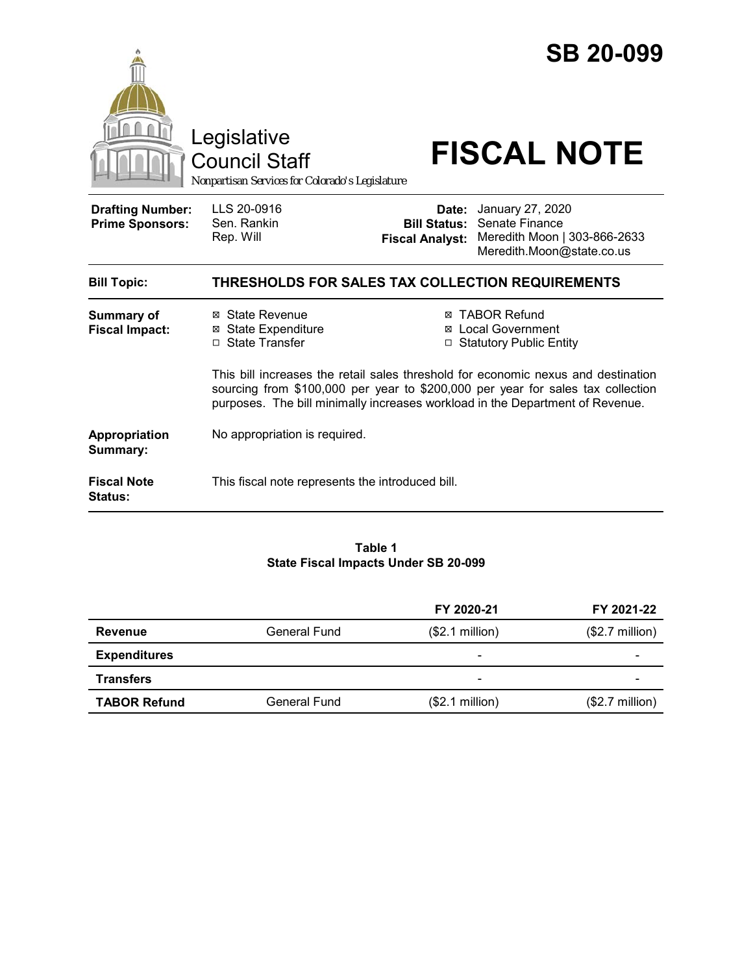|                                                   | Legislative<br>Council Staff<br>Nonpartisan Services for Colorado's Legislature                                                                                  |                                                        | <b>SB 20-099</b><br><b>FISCAL NOTE</b>                                                                                                                           |  |
|---------------------------------------------------|------------------------------------------------------------------------------------------------------------------------------------------------------------------|--------------------------------------------------------|------------------------------------------------------------------------------------------------------------------------------------------------------------------|--|
| <b>Drafting Number:</b><br><b>Prime Sponsors:</b> | LLS 20-0916<br>Sen. Rankin<br>Rep. Will                                                                                                                          | Date:<br><b>Bill Status:</b><br><b>Fiscal Analyst:</b> | January 27, 2020<br>Senate Finance<br>Meredith Moon   303-866-2633<br>Meredith.Moon@state.co.us                                                                  |  |
| <b>Bill Topic:</b>                                | THRESHOLDS FOR SALES TAX COLLECTION REQUIREMENTS                                                                                                                 |                                                        |                                                                                                                                                                  |  |
| <b>Summary of</b><br><b>Fiscal Impact:</b>        | ⊠ State Revenue<br><b>⊠</b> State Expenditure<br>□ State Transfer                                                                                                | ⊠                                                      | <b>TABOR Refund</b><br><b>Local Government</b><br>□ Statutory Public Entity<br>This bill increases the retail sales threshold for economic nexus and destination |  |
|                                                   | sourcing from \$100,000 per year to \$200,000 per year for sales tax collection<br>purposes. The bill minimally increases workload in the Department of Revenue. |                                                        |                                                                                                                                                                  |  |
| <b>Appropriation</b><br>Summary:                  | No appropriation is required.                                                                                                                                    |                                                        |                                                                                                                                                                  |  |
| <b>Fiscal Note</b><br>Status:                     | This fiscal note represents the introduced bill.                                                                                                                 |                                                        |                                                                                                                                                                  |  |

#### **Table 1 State Fiscal Impacts Under SB 20-099**

|                     |              | FY 2020-21                   | FY 2021-22               |
|---------------------|--------------|------------------------------|--------------------------|
| Revenue             | General Fund | (\$2.1 million)              | $($2.7 \text{ million})$ |
| <b>Expenditures</b> |              |                              |                          |
| <b>Transfers</b>    |              | $\qquad \qquad \blacksquare$ |                          |
| <b>TABOR Refund</b> | General Fund | (\$2.1 million)              | $($2.7 \text{ million})$ |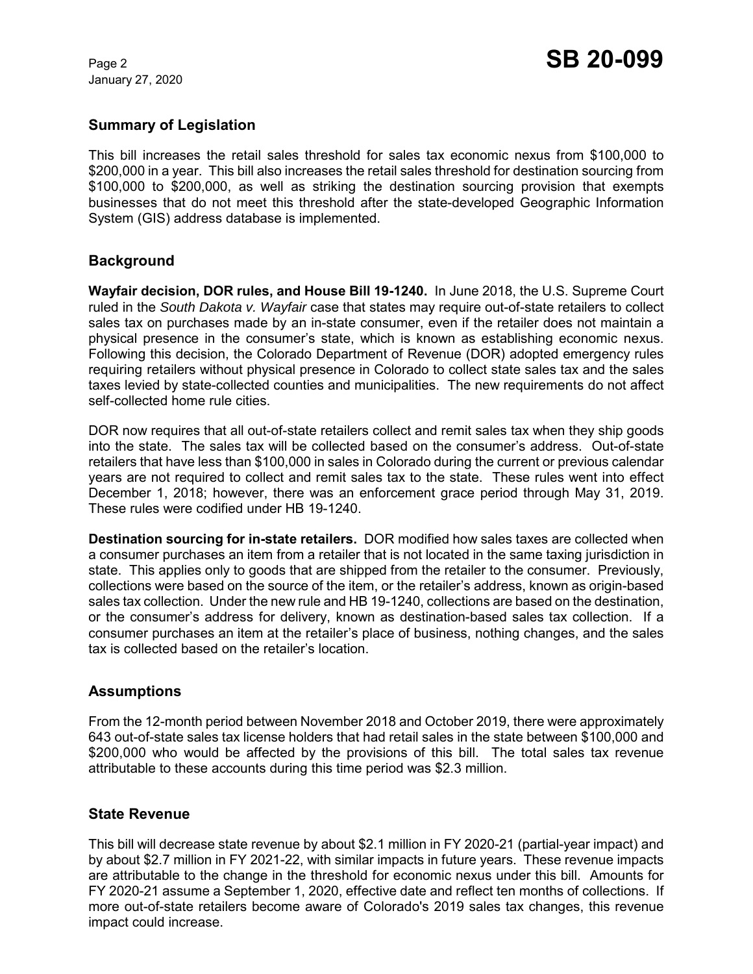January 27, 2020

# **Summary of Legislation**

This bill increases the retail sales threshold for sales tax economic nexus from \$100,000 to \$200,000 in a year. This bill also increases the retail sales threshold for destination sourcing from \$100,000 to \$200,000, as well as striking the destination sourcing provision that exempts businesses that do not meet this threshold after the state-developed Geographic Information System (GIS) address database is implemented.

# **Background**

**Wayfair decision, DOR rules, and House Bill 19-1240.** In June 2018, the U.S. Supreme Court ruled in the *South Dakota v. Wayfair* case that states may require out-of-state retailers to collect sales tax on purchases made by an in-state consumer, even if the retailer does not maintain a physical presence in the consumer's state, which is known as establishing economic nexus. Following this decision, the Colorado Department of Revenue (DOR) adopted emergency rules requiring retailers without physical presence in Colorado to collect state sales tax and the sales taxes levied by state-collected counties and municipalities. The new requirements do not affect self-collected home rule cities.

DOR now requires that all out-of-state retailers collect and remit sales tax when they ship goods into the state. The sales tax will be collected based on the consumer's address. Out-of-state retailers that have less than \$100,000 in sales in Colorado during the current or previous calendar years are not required to collect and remit sales tax to the state. These rules went into effect December 1, 2018; however, there was an enforcement grace period through May 31, 2019. These rules were codified under HB 19-1240.

**Destination sourcing for in-state retailers.** DOR modified how sales taxes are collected when a consumer purchases an item from a retailer that is not located in the same taxing jurisdiction in state. This applies only to goods that are shipped from the retailer to the consumer. Previously, collections were based on the source of the item, or the retailer's address, known as origin-based sales tax collection. Under the new rule and HB 19-1240, collections are based on the destination, or the consumer's address for delivery, known as destination-based sales tax collection. If a consumer purchases an item at the retailer's place of business, nothing changes, and the sales tax is collected based on the retailer's location.

# **Assumptions**

From the 12-month period between November 2018 and October 2019, there were approximately 643 out-of-state sales tax license holders that had retail sales in the state between \$100,000 and \$200,000 who would be affected by the provisions of this bill. The total sales tax revenue attributable to these accounts during this time period was \$2.3 million.

### **State Revenue**

This bill will decrease state revenue by about \$2.1 million in FY 2020-21 (partial-year impact) and by about \$2.7 million in FY 2021-22, with similar impacts in future years. These revenue impacts are attributable to the change in the threshold for economic nexus under this bill. Amounts for FY 2020-21 assume a September 1, 2020, effective date and reflect ten months of collections. If more out-of-state retailers become aware of Colorado's 2019 sales tax changes, this revenue impact could increase.